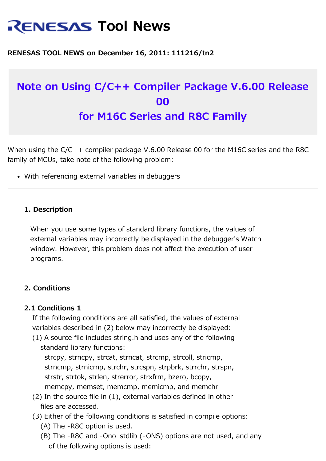# **RENESAS Tool News**

#### **RENESAS TOOL NEWS on December 16, 2011: 111216/tn2**

## **Note on Using C/C++ Compiler Package V.6.00 Release 00 for M16C Series and R8C Family**

When using the C/C++ compiler package V.6.00 Release 00 for the M16C series and the R8C family of MCUs, take note of the following problem:

With referencing external variables in debuggers

#### **1. Description**

 When you use some types of standard library functions, the values of external variables may incorrectly be displayed in the debugger's Watch window. However, this problem does not affect the execution of user programs.

#### **2. Conditions**

### **2.1 Conditions 1**

 If the following conditions are all satisfied, the values of external variables described in (2) below may incorrectly be displayed:

 (1) A source file includes string.h and uses any of the following standard library functions:

 strcpy, strncpy, strcat, strncat, strcmp, strcoll, stricmp, strncmp, strnicmp, strchr, strcspn, strpbrk, strrchr, strspn, strstr, strtok, strlen, strerror, strxfrm, bzero, bcopy, memcpy, memset, memcmp, memicmp, and memchr

- (2) In the source file in (1), external variables defined in other files are accessed.
- (3) Either of the following conditions is satisfied in compile options: (A) The -R8C option is used.
	- (B) The -R8C and -Ono\_stdlib (-ONS) options are not used, and any of the following options is used: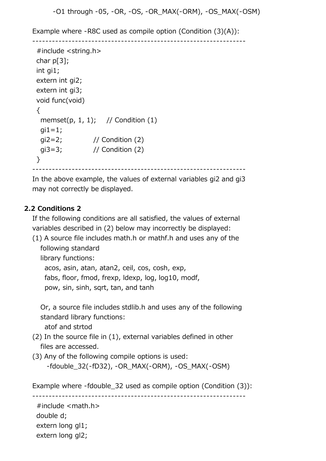```
 -O1 through -05, -OR, -OS, -OR_MAX(-ORM), -OS_MAX(-OSM)
```
Example where -R8C used as compile option (Condition (3)(A)):

```
 -----------------------------------------------------------------
  #include <string.h>
char p[3];
 int gi1;
 extern int gi2;
 extern int gi3;
 void func(void)
 \{memset(p, 1, 1); // Condition (1)
  qi1=1; gi2=2; // Condition (2)
   gi3=3; // Condition (2)
 }
            -----------------------------------------------------------------
```
 In the above example, the values of external variables gi2 and gi3 may not correctly be displayed.

### **2.2 Conditions 2**

 If the following conditions are all satisfied, the values of external variables described in (2) below may incorrectly be displayed:

 (1) A source file includes math.h or mathf.h and uses any of the following standard

library functions:

 acos, asin, atan, atan2, ceil, cos, cosh, exp, fabs, floor, fmod, frexp, ldexp, log, log10, modf, pow, sin, sinh, sqrt, tan, and tanh

 Or, a source file includes stdlib.h and uses any of the following standard library functions:

atof and strtod

- (2) In the source file in (1), external variables defined in other files are accessed.
- (3) Any of the following compile options is used: -fdouble\_32(-fD32), -OR\_MAX(-ORM), -OS\_MAX(-OSM)

Example where -fdouble 32 used as compile option (Condition (3)):

-----------------------------------------------------------------

 #include <math.h> double d; extern long gl1; extern long gl2;